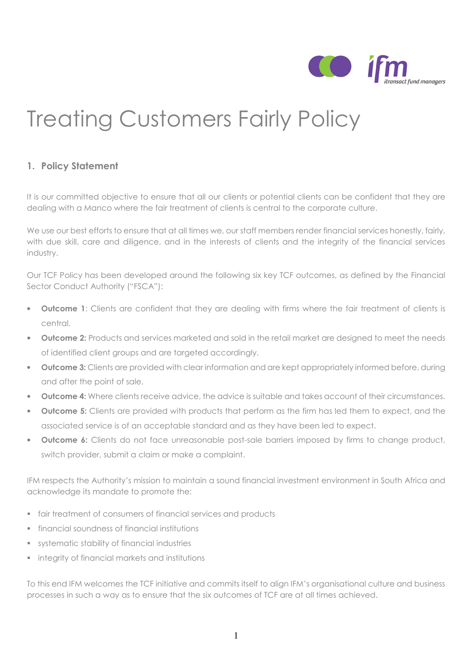

# Treating Customers Fairly Policy

# 1. Policy Statement

It is our committed objective to ensure that all our clients or potential clients can be confident that they are dealing with a Manco where the fair treatment of clients is central to the corporate culture.

We use our best efforts to ensure that at all times we, our staff members render financial services honestly, fairly, with due skill, care and diligence, and in the interests of clients and the integrity of the financial services industry.

Our TCF Policy has been developed around the following six key TCF outcomes, as defined by the Financial Sector Conduct Authority ("FSCA"):

- **Outcome 1:** Clients are confident that they are dealing with firms where the fair treatment of clients is central.
- **Outcome 2:** Products and services marketed and sold in the retail market are designed to meet the needs of identified client groups and are targeted accordingly.
- **Outcome 3:** Clients are provided with clear information and are kept appropriately informed before, during and after the point of sale.
- Outcome 4: Where clients receive advice, the advice is suitable and takes account of their circumstances.
- **Outcome 5:** Clients are provided with products that perform as the firm has led them to expect, and the associated service is of an acceptable standard and as they have been led to expect.
- **Outcome 6:** Clients do not face unreasonable post-sale barriers imposed by firms to change product, switch provider, submit a claim or make a complaint.

IFM respects the Authority's mission to maintain a sound financial investment environment in South Africa and acknowledge its mandate to promote the:

- fair treatment of consumers of financial services and products
- financial soundness of financial institutions
- systematic stability of financial industries
- **EXECUTE:** integrity of financial markets and institutions

To this end IFM welcomes the TCF initiative and commits itself to align IFM's organisational culture and business processes in such a way as to ensure that the six outcomes of TCF are at all times achieved.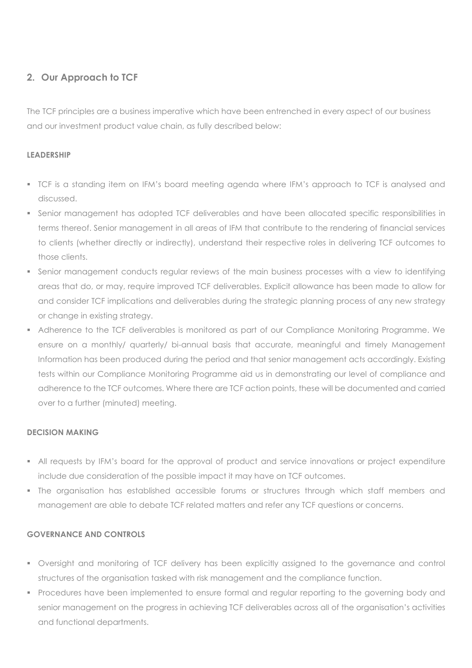# 2. Our Approach to TCF

The TCF principles are a business imperative which have been entrenched in every aspect of our business and our investment product value chain, as fully described below:

### LEADERSHIP

- TCF is a standing item on IFM's board meeting agenda where IFM's approach to TCF is analysed and discussed.
- Senior management has adopted TCF deliverables and have been allocated specific responsibilities in terms thereof. Senior management in all areas of IFM that contribute to the rendering of financial services to clients (whether directly or indirectly), understand their respective roles in delivering TCF outcomes to those clients.
- Senior management conducts regular reviews of the main business processes with a view to identifying areas that do, or may, require improved TCF deliverables. Explicit allowance has been made to allow for and consider TCF implications and deliverables during the strategic planning process of any new strategy or change in existing strategy.
- Adherence to the TCF deliverables is monitored as part of our Compliance Monitoring Programme. We ensure on a monthly/ quarterly/ bi-annual basis that accurate, meaningful and timely Management Information has been produced during the period and that senior management acts accordingly. Existing tests within our Compliance Monitoring Programme aid us in demonstrating our level of compliance and adherence to the TCF outcomes. Where there are TCF action points, these will be documented and carried over to a further (minuted) meeting.

#### DECISION MAKING

- All requests by IFM's board for the approval of product and service innovations or project expenditure include due consideration of the possible impact it may have on TCF outcomes.
- The organisation has established accessible forums or structures through which staff members and management are able to debate TCF related matters and refer any TCF questions or concerns.

#### GOVERNANCE AND CONTROLS

- Oversight and monitoring of TCF delivery has been explicitly assigned to the governance and control structures of the organisation tasked with risk management and the compliance function.
- **Procedures have been implemented to ensure formal and regular reporting to the governing body and** senior management on the progress in achieving TCF deliverables across all of the organisation's activities and functional departments.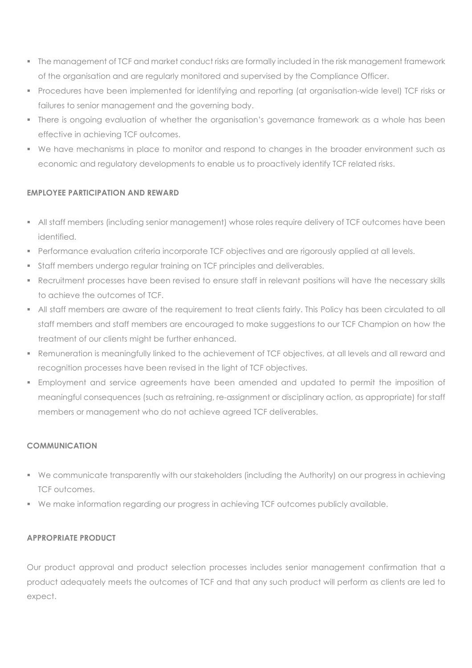- The management of TCF and market conduct risks are formally included in the risk management framework of the organisation and are regularly monitored and supervised by the Compliance Officer.
- Procedures have been implemented for identifying and reporting (at organisation-wide level) TCF risks or failures to senior management and the governing body.
- There is ongoing evaluation of whether the organisation's governance framework as a whole has been effective in achieving TCF outcomes.
- We have mechanisms in place to monitor and respond to changes in the broader environment such as economic and regulatory developments to enable us to proactively identify TCF related risks.

# EMPLOYEE PARTICIPATION AND REWARD

- All staff members (including senior management) whose roles require delivery of TCF outcomes have been identified.
- **Performance evaluation criteria incorporate TCF objectives and are rigorously applied at all levels.**
- Staff members undergo regular training on TCF principles and deliverables.
- Recruitment processes have been revised to ensure staff in relevant positions will have the necessary skills to achieve the outcomes of TCF.
- All staff members are aware of the requirement to treat clients fairly. This Policy has been circulated to all staff members and staff members are encouraged to make suggestions to our TCF Champion on how the treatment of our clients might be further enhanced.
- Remuneration is meaningfully linked to the achievement of TCF objectives, at all levels and all reward and recognition processes have been revised in the light of TCF objectives.
- Employment and service agreements have been amended and updated to permit the imposition of meaningful consequences (such as retraining, re-assignment or disciplinary action, as appropriate) for staff members or management who do not achieve agreed TCF deliverables.

# COMMUNICATION

- We communicate transparently with our stakeholders (including the Authority) on our progress in achieving TCF outcomes.
- We make information regarding our progress in achieving TCF outcomes publicly available.

# APPROPRIATE PRODUCT

Our product approval and product selection processes includes senior management confirmation that a product adequately meets the outcomes of TCF and that any such product will perform as clients are led to expect.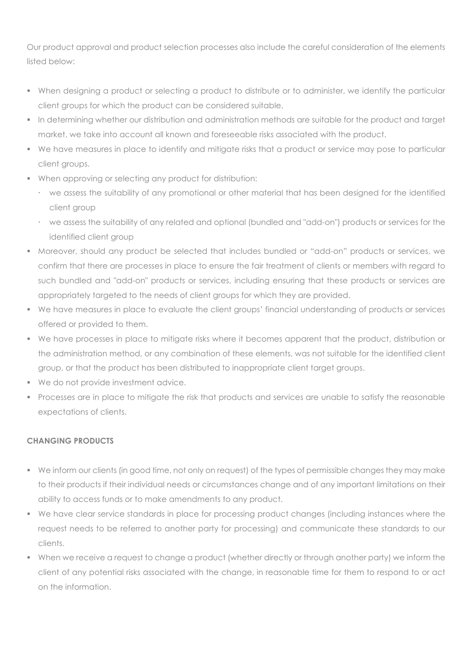Our product approval and product selection processes also include the careful consideration of the elements listed below:

- When designing a product or selecting a product to distribute or to administer, we identify the particular client groups for which the product can be considered suitable.
- In determining whether our distribution and administration methods are suitable for the product and target market, we take into account all known and foreseeable risks associated with the product.
- We have measures in place to identify and mitigate risks that a product or service may pose to particular client groups.
- When approving or selecting any product for distribution:
	- we assess the suitability of any promotional or other material that has been designed for the identified client group
	- we assess the suitability of any related and optional (bundled and "add-on") products or services for the identified client group
- Moreover, should any product be selected that includes bundled or "add-on" products or services, we confirm that there are processes in place to ensure the fair treatment of clients or members with regard to such bundled and "add-on" products or services, including ensuring that these products or services are appropriately targeted to the needs of client groups for which they are provided.
- We have measures in place to evaluate the client groups' financial understanding of products or services offered or provided to them.
- We have processes in place to mitigate risks where it becomes apparent that the product, distribution or the administration method, or any combination of these elements, was not suitable for the identified client group, or that the product has been distributed to inappropriate client target groups.
- We do not provide investment advice.
- Processes are in place to mitigate the risk that products and services are unable to satisfy the reasonable expectations of clients.

# CHANGING PRODUCTS

- We inform our clients (in good time, not only on request) of the types of permissible changes they may make to their products if their individual needs or circumstances change and of any important limitations on their ability to access funds or to make amendments to any product.
- We have clear service standards in place for processing product changes (including instances where the request needs to be referred to another party for processing) and communicate these standards to our clients.
- When we receive a request to change a product (whether directly or through another party) we inform the client of any potential risks associated with the change, in reasonable time for them to respond to or act on the information.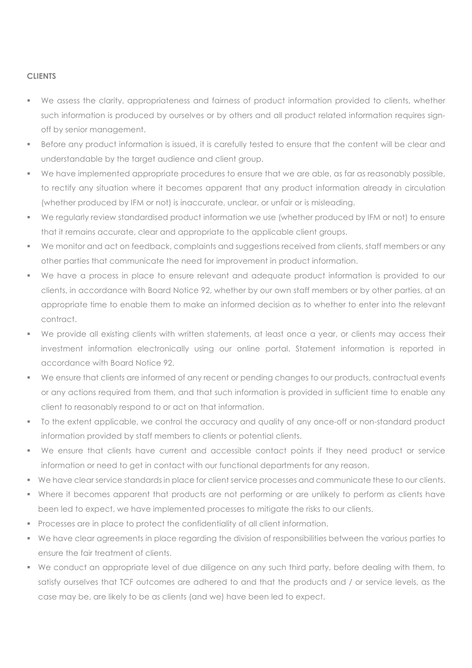#### **CLIENTS**

- We assess the clarity, appropriateness and fairness of product information provided to clients, whether such information is produced by ourselves or by others and all product related information requires signoff by senior management.
- Before any product information is issued, it is carefully tested to ensure that the content will be clear and understandable by the target audience and client group.
- We have implemented appropriate procedures to ensure that we are able, as far as reasonably possible, to rectify any situation where it becomes apparent that any product information already in circulation (whether produced by IFM or not) is inaccurate, unclear, or unfair or is misleading.
- We regularly review standardised product information we use (whether produced by IFM or not) to ensure that it remains accurate, clear and appropriate to the applicable client groups.
- We monitor and act on feedback, complaints and suggestions received from clients, staff members or any other parties that communicate the need for improvement in product information.
- We have a process in place to ensure relevant and adequate product information is provided to our clients, in accordance with Board Notice 92, whether by our own staff members or by other parties, at an appropriate time to enable them to make an informed decision as to whether to enter into the relevant contract.
- We provide all existing clients with written statements, at least once a year, or clients may access their investment information electronically using our online portal. Statement information is reported in accordance with Board Notice 92.
- We ensure that clients are informed of any recent or pending changes to our products, contractual events or any actions required from them, and that such information is provided in sufficient time to enable any client to reasonably respond to or act on that information.
- To the extent applicable, we control the accuracy and quality of any once-off or non-standard product information provided by staff members to clients or potential clients.
- We ensure that clients have current and accessible contact points if they need product or service information or need to get in contact with our functional departments for any reason.
- We have clear service standards in place for client service processes and communicate these to our clients.
- Where it becomes apparent that products are not performing or are unlikely to perform as clients have been led to expect, we have implemented processes to mitigate the risks to our clients.
- **Processes are in place to protect the confidentiality of all client information.**
- We have clear agreements in place regarding the division of responsibilities between the various parties to ensure the fair treatment of clients.
- We conduct an appropriate level of due diligence on any such third party, before dealing with them, to satisfy ourselves that TCF outcomes are adhered to and that the products and / or service levels, as the case may be, are likely to be as clients (and we) have been led to expect.